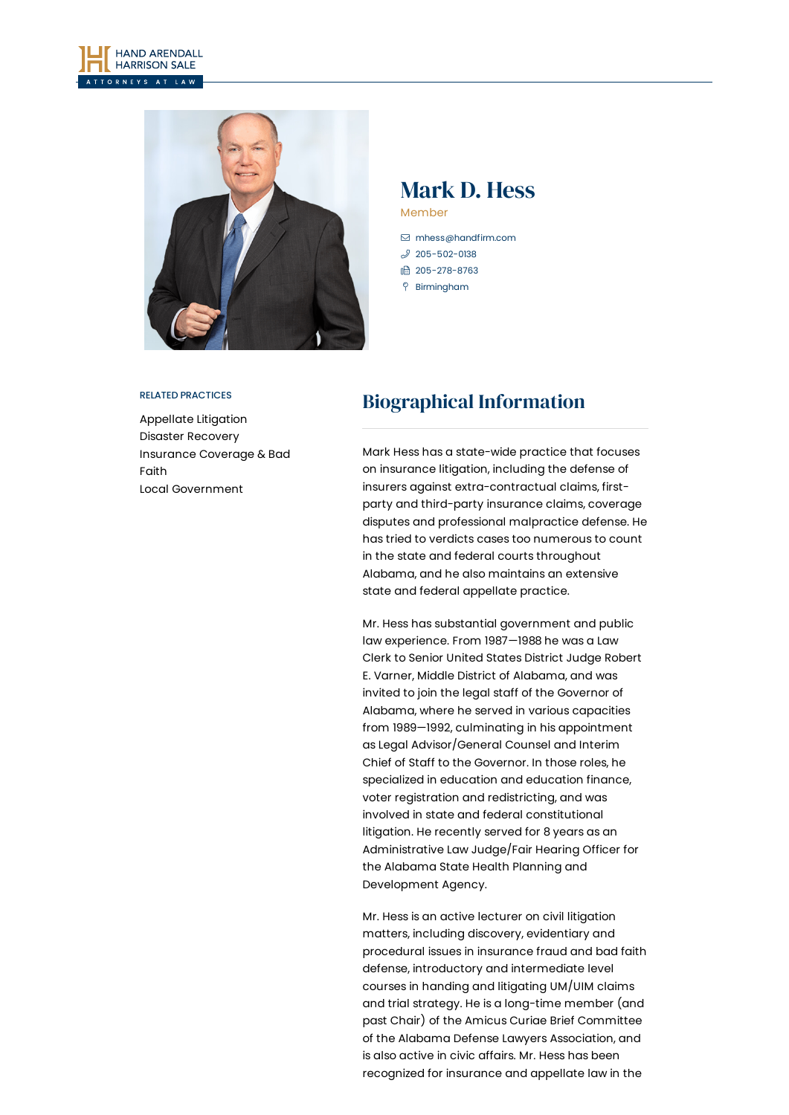



## Mark D. Hess Member

 [mhess@handfirm.com](mailto:mhess@handfirm.com)  $$205 - 502 - 0138$$ 

1 205-278-8763

Birmingham

#### RELATED PRACTICES

[Appellate](https://www.handfirm.com/practices/litigation/appellate-litigation/) Litigation Disaster [Recovery](https://www.handfirm.com/practices/industries/disaster-recovery/) [Insurance](https://www.handfirm.com/practices/litigation/insurance-coverage-bad-faith/) Coverage & Bad Faith Local [Government](https://www.handfirm.com/practices/business-services/local-government/)

# Biographical Information

Mark Hess has a state-wide practice that focuses on insurance litigation, including the defense of insurers against extra-contractual claims, firstparty and third-party insurance claims, coverage disputes and professional malpractice defense. He has tried to verdicts cases too numerous to count in the state and federal courts throughout Alabama, and he also maintains an extensive state and federal appellate practice.

Mr. Hess has substantial government and public law experience. From 1987—1988 he was a Law Clerk to Senior United States District Judge Robert E. Varner, Middle District of Alabama, and was invited to join the legal staff of the Governor of Alabama, where he served in various capacities from 1989—1992, culminating in his appointment as Legal Advisor/General Counsel and Interim Chief of Staff to the Governor. In those roles, he specialized in education and education finance, voter registration and redistricting, and was involved in state and federal constitutional litigation. He recently served for 8 years as an Administrative Law Judge/Fair Hearing Officer for the Alabama State Health Planning and Development Agency.

Mr. Hess is an active lecturer on civil litigation matters, including discovery, evidentiary and procedural issues in insurance fraud and bad faith defense, introductory and intermediate level courses in handing and litigating UM/UIM claims and trial strategy. He is a long-time member (and past Chair) of the Amicus Curiae Brief Committee of the Alabama Defense Lawyers Association, and is also active in civic affairs. Mr. Hess has been recognized for insurance and appellate law in the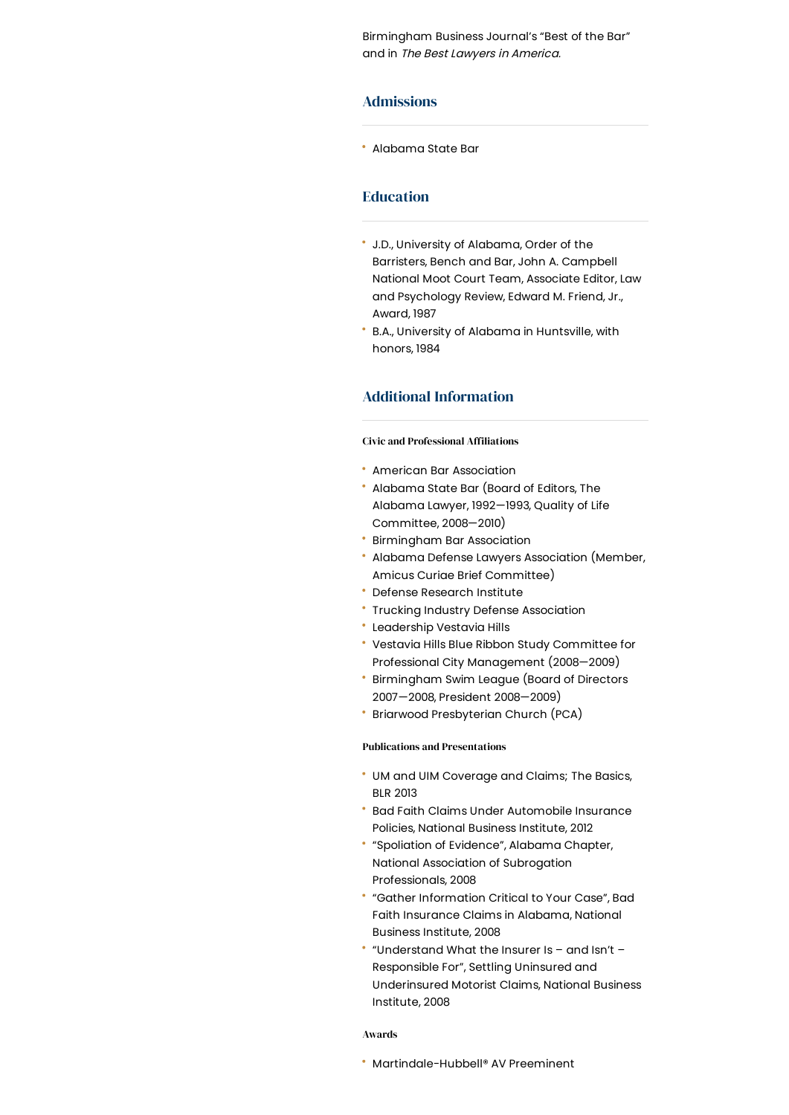Birmingham Business Journal's "Best of the Bar" and in The Best Lawyers in America.

## Admissions

Alabama State Bar

## Education

- J.D., University of Alabama, Order of the Barristers, Bench and Bar, John A. Campbell National Moot Court Team, Associate Editor, Law and Psychology Review, Edward M. Friend, Jr., Award, 1987
- B.A., University of Alabama in Huntsville, with honors, 1984

## Additional Information

#### **Civic and Professional Affiliations**

- American Bar Association
- Alabama State Bar (Board of Editors, The Alabama Lawyer, 1992—1993, Quality of Life Committee, 2008—2010)
- Birmingham Bar Association
- Alabama Defense Lawyers Association (Member, Amicus Curiae Brief Committee)
- Defense Research Institute
- Trucking Industry Defense Association
- Leadership Vestavia Hills
- Vestavia Hills Blue Ribbon Study Committee for Professional City Management (2008—2009)
- Birmingham Swim League (Board of Directors 2007—2008, President 2008—2009)
- Briarwood Presbyterian Church (PCA)

### Publications and Presentations

- UM and UIM Coverage and Claims; The Basics, BLR 2013
- Bad Faith Claims Under Automobile Insurance Policies, National Business Institute, 2012
- "Spoliation of Evidence", Alabama Chapter, National Association of Subrogation Professionals, 2008
- "Gather Information Critical to Your Case", Bad Faith Insurance Claims in Alabama, National Business Institute, 2008
- "Understand What the Insurer Is and Isn't Responsible For", Settling Uninsured and Underinsured Motorist Claims, National Business Institute, 2008

#### Awards

Martindale-Hubbell® AV Preeminent